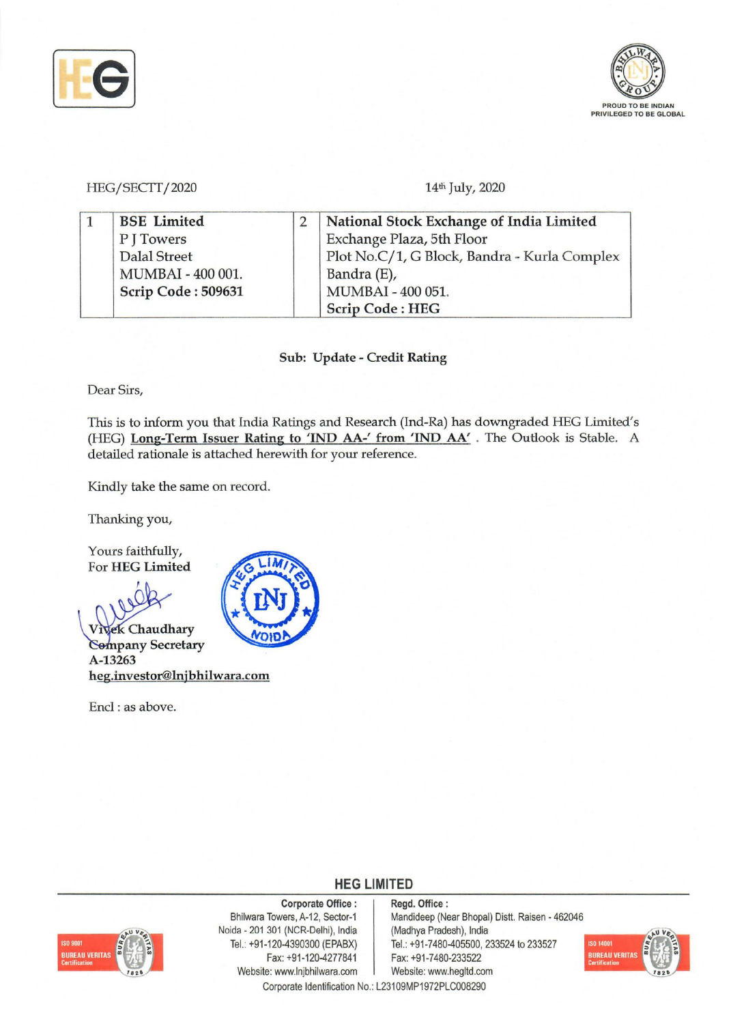



HEGjSECTI *<sup>j</sup><sup>2020</sup>*

14<sup>th</sup> July, 2020

| <b>BSE</b> Limited  |  | National Stock Exchange of India Limited     |  |  |
|---------------------|--|----------------------------------------------|--|--|
| P J Towers          |  | Exchange Plaza, 5th Floor                    |  |  |
| <b>Dalal Street</b> |  | Plot No.C/1, G Block, Bandra - Kurla Complex |  |  |
| MUMBAI - 400 001.   |  | Bandra (E),                                  |  |  |
| Scrip Code: 509631  |  | MUMBAI - 400 051.                            |  |  |
|                     |  | <b>Scrip Code: HEG</b>                       |  |  |

Sub: Update - Credit Rating

Dear Sirs,

This is to inform you that India Ratings and Research (Ind-Ra) has downgraded HEG Limited's (HEG) Long-Term Issuer Rating to 'IND AA-' from 'IND AA'. The Outlook is Stable. A detailed rationale is attached herewith for your reference.

Kindly take the same on record.

Thanking you,

Yours faithfully, For HEG Limited



Encl: as above.



# **HEG LIMITED**

Corporate Office:

# **BUREAU VERIT**

Bhilwara Towers, A-12, Sector-1 Noida - 201 301 (NCR-Delhi), India Tel.: +91-120-4390300 (EPABX) Fax: +91-120-4277841 Website: www.lnjbhilwara.com

Regd. Office: Mandideep (Near Bhopal) Distt. Raisen - 462046 (Madhya Pradesh), India Tel.: +91-7480-405500, 233524 to 233527 Fax: +91-7480-233522



Corporate Identification No.: L23109MP1972PLC008290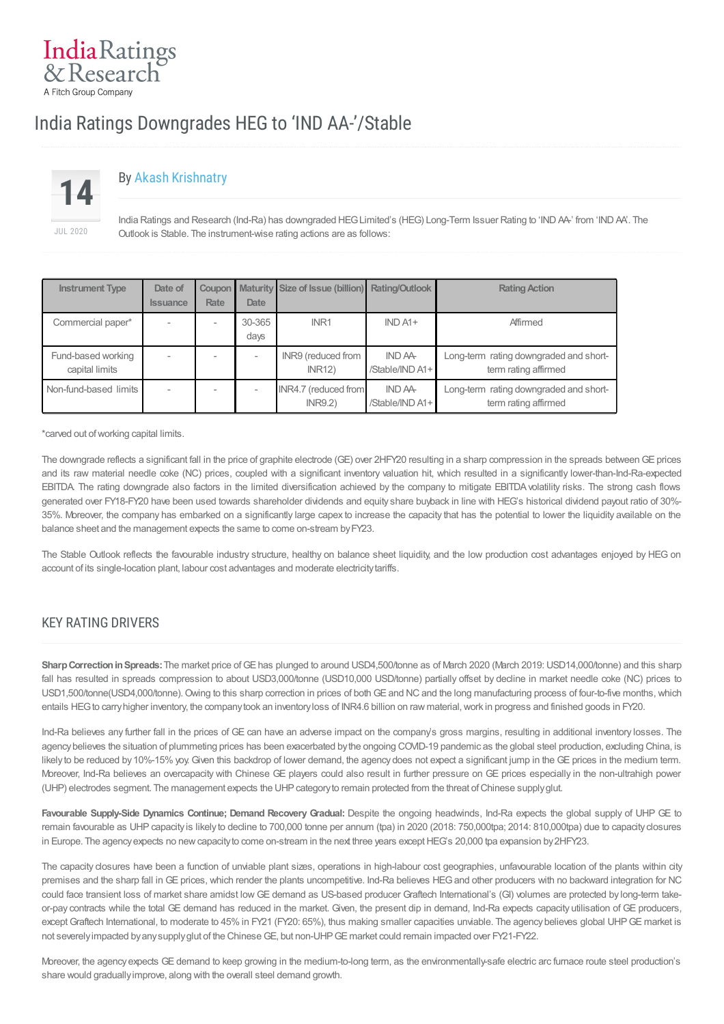# India Ratings Downgrades HEG to 'IND AA-'/Stable



IndiaRatings & Research A Fitch Group Company

# By Akash [Krishnatry](/Indra/Analyst/Index?analystID=52&analystName=Akash Krishnatry)

India Ratings and Research (Ind-Ra) has downgraded HEGLimited's (HEG) Long-Term Issuer Rating to 'INDAA-' from 'INDAA'. The Outlook is Stable. The instrument-wise rating actions are as follows:

| <b>Instrument Type</b>               | Date of         |             |                | Coupon Maturity Size of Issue (billion) | <b>Rating/Outlook</b>      | <b>Rating Action</b>                                           |
|--------------------------------------|-----------------|-------------|----------------|-----------------------------------------|----------------------------|----------------------------------------------------------------|
|                                      | <b>Issuance</b> | <b>Rate</b> | <b>Date</b>    |                                         |                            |                                                                |
| Commercial paper*                    |                 |             | 30-365<br>days | INR <sub>1</sub>                        | $IND A1+$                  | Affirmed                                                       |
| Fund-based working<br>capital limits |                 |             |                | INR9 (reduced from<br><b>INR12)</b>     | IND AA-<br>/Stable/IND A1+ | Long-term rating downgraded and short-<br>term rating affirmed |
| Non-fund-based limits                |                 |             |                | INR4.7 (reduced from<br>INR9.2)         | IND AA-<br>/Stable/IND A1+ | Long-term rating downgraded and short-<br>term rating affirmed |

\*carved out ofworking capital limits.

The downgrade reflects a significant fall in the price of graphite electrode (GE) over 2HFY20 resulting in a sharp compression in the spreads between GE prices and its raw material needle coke (NC) prices, coupled with a significant inventory valuation hit, which resulted in a significantly lower-than-Ind-Ra-expected EBITDA. The rating downgrade also factors in the limited diversification achieved by the company to mitigate EBITDAvolatility risks. The strong cash flows generated over FY18-FY20 have been used towards shareholder dividends and equity share buyback in line with HEG's historical dividend payout ratio of 30%- 35%. Moreover, the company has embarked on a significantly large capex to increase the capacity that has the potential to lower the liquidity available on the balance sheet and the management expects the same to come on-stream byFY23.

The Stable Outlook reflects the favourable industry structure, healthy on balance sheet liquidity, and the low production cost advantages enjoyed by HEG on account of its single-location plant, labour cost advantages and moderate electricitytariffs.

### KEY RATING DRIVERS

Sharp Correction in Spreads: The market price of GE has plunged to around USD4,500/tonne as of March 2020 (March 2019: USD14,000/tonne) and this sharp fall has resulted in spreads compression to about USD3,000/tonne (USD10,000 USD/tonne) partially offset by decline in market needle coke (NC) prices to USD1,500/tonne(USD4,000/tonne). Owing to this sharp correction in prices of both GE and NC and the long manufacturing process of four-to-five months, which entails HEG to carry higher inventory, the company took an inventory loss of INR4.6 billion on raw material, work in progress and finished goods in FY20.

Ind-Ra believes any further fall in the prices of GE can have an adverse impact on the company's gross margins, resulting in additional inventory losses. The agency believes the situation of plummeting prices has been exacerbated by the ongoing COVID-19 pandemic as the global steel production, excluding China, is likely to be reduced by 10%-15% yoy. Given this backdrop of lower demand, the agency does not expect a significant jump in the GE prices in the medium term. Moreover, Ind-Ra believes an overcapacity with Chinese GE players could also result in further pressure on GE prices especially in the non-ultrahigh power (UHP) electrodes segment. The management expects the UHPcategoryto remain protected from the threat ofChinese supplyglut.

**Favourable Supply-Side Dynamics Continue; Demand Recovery Gradual:** Despite the ongoing headwinds, Ind-Ra expects the global supply of UHP GE to remain favourable as UHP capacity is likely to decline to 700,000 tonne per annum (tpa) in 2020 (2018: 750,000tpa; 2014: 810,000tpa) due to capacity closures in Europe. The agency expects no new capacity to come on-stream in the next three years except HEG's 20,000 tpa expansion by 2HFY23.

The capacity closures have been a function of unviable plant sizes, operations in high-labour cost geographies, unfavourable location of the plants within city premises and the sharp fall in GE prices, which render the plants uncompetitive. Ind-Ra believes HEG and other producers with no backward integration for NC could face transient loss of market share amidst low GE demand as US-based producer Graftech International's (GI) volumes are protected by long-term takeor-pay contracts while the total GE demand has reduced in the market. Given, the present dip in demand, Ind-Ra expects capacity utilisation of GE producers, except Graftech International, to moderate to 45% in FY21 (FY20: 65%), thus making smaller capacities unviable. The agency believes global UHP GE market is not severely impacted by any supply glut of the Chinese GE, but non-UHP GE market could remain impacted over FY21-FY22.

Moreover, the agency expects GE demand to keep growing in the medium-to-long term, as the environmentally-safe electric arc furnace route steel production's share would graduallyimprove, along with the overall steel demand growth.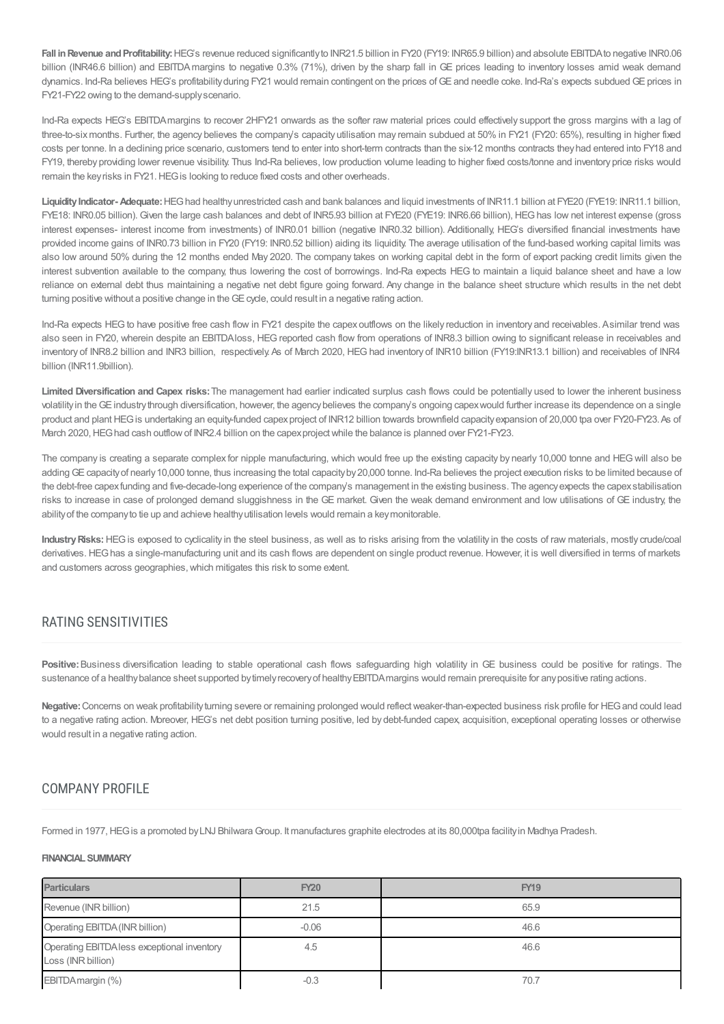**Fall inRevenue andProfitability:**HEG's revenue reduced significantlyto INR21.5 billion in FY20 (FY19: INR65.9 billion) and absolute EBITDAto negative INR0.06 billion (INR46.6 billion) and EBITDA margins to negative 0.3% (71%), driven by the sharp fall in GE prices leading to inventory losses amid weak demand dynamics. Ind-Ra believes HEG's profitabilityduring FY21 would remain contingent on the prices ofGE and needle coke. Ind-Ra's expects subdued GE prices in FY21-FY22 owing to the demand-supplyscenario.

Ind-Ra expects HEG's EBITDAmargins to recover 2HFY21 onwards as the softer raw material prices could effectively support the gross margins with a lag of three-to-sixmonths. Further, the agency believes the company's capacity utilisation may remain subdued at 50% in FY21 (FY20: 65%), resulting in higher fixed costs per tonne. In a declining price scenario, customers tend to enter into short-term contracts than the six-12 months contracts theyhad entered into FY18 and FY19, thereby providing lower revenue visibility. Thus Ind-Ra believes, low production volume leading to higher fixed costs/tonne and inventory price risks would remain the keyrisks in FY21.HEGis looking to reduce fixed costs and other overheads.

Liquidity Indicator- Adequate: HEG had healthy unrestricted cash and bank balances and liquid investments of INR11.1 billion at FYE20 (FYE19: INR11.1 billion, FYE18: INR0.05 billion). Given the large cash balances and debt of INR5.93 billion at FYE20 (FYE19: INR6.66 billion), HEGhas low net interest expense (gross interest expenses- interest income from investments) of INR0.01 billion (negative INR0.32 billion). Additionally, HEG's diversified financial investments have provided income gains of INR0.73 billion in FY20 (FY19: INR0.52 billion) aiding its liquidity. The average utilisation of the fund-based working capital limits was also low around 50% during the 12 months ended May 2020. The company takes on working capital debt in the form of export packing credit limits given the interest subvention available to the company, thus lowering the cost of borrowings. Ind-Ra expects HEG to maintain a liquid balance sheet and have a low reliance on external debt thus maintaining a negative net debt figure going forward. Any change in the balance sheet structure which results in the net debt turning positive without a positive change in the GE cycle, could result in a negative rating action.

Ind-Ra expects HEG to have positive free cash flow in FY21 despite the capex outflows on the likely reduction in inventory and receivables. Asimilar trend was also seen in FY20, wherein despite an EBITDAloss, HEGreported cash flow from operations of INR8.3 billion owing to significant release in receivables and inventory of INR8.2 billion and INR3 billion, respectively. As of March 2020, HEG had inventory of INR10 billion (FY19:INR13.1 billion) and receivables of INR4 billion (INR11.9billion).

**Limited Diversification and Capex risks:**The management had earlier indicated surplus cash flows could be potentially used to lower the inherent business volatilityin the GE industrythrough diversification, however, the agencybelieves the company's ongoing capexwould further increase its dependence on a single product and plant HEG is undertaking an equity-funded capex project of INR12 billion towards brownfield capacity expansion of 20,000 tpa over FY20-FY23. As of March 2020, HEG had cash outflow of INR2.4 billion on the capex project while the balance is planned over FY21-FY23.

The company is creating a separate complex for nipple manufacturing, which would free up the existing capacity by nearly 10,000 tonne and HEG will also be adding GE capacity of nearly 10,000 tonne, thus increasing the total capacity by 20,000 tonne. Ind-Ra believes the project execution risks to be limited because of the debt-free capex funding and five-decade-long experience of the company's management in the existing business. The agency expects the capex stabilisation risks to increase in case of prolonged demand sluggishness in the GE market. Given the weak demand environment and low utilisations of GE industry, the ability of the company to tie up and achieve healthy utilisation levels would remain a key monitorable.

Industry Risks: HEG is exposed to cyclicality in the steel business, as well as to risks arising from the volatility in the costs of raw materials, mostly crude/coal derivatives. HEGhas a single-manufacturing unit and its cash flows are dependent on single product revenue. However, it is well diversified in terms of markets and customers across geographies, which mitigates this risk to some extent.

# RATING SENSITIVITIES

**Positive:**Business diversification leading to stable operational cash flows safeguarding high volatility in GE business could be positive for ratings. The sustenance of a healthy balance sheet supported by timely recovery of healthy EBITDA margins would remain prerequisite for any positive rating actions.

Negative: Concerns on weak profitability turning severe or remaining prolonged would reflect weaker-than-expected business risk profile for HEG and could lead to a negative rating action. Moreover, HEG's net debt position turning positive, led by debt-funded capex, acquisition, exceptional operating losses or otherwise would result in a negative rating action.

# COMPANY PROFILE

Formed in 1977, HEG is a promoted by LNJ Bhilwara Group. It manufactures graphite electrodes at its 80,000tpa facility in Madhya Pradesh.

#### **FINANCIALSUMMARY**

| <b>Particulars</b>                                                | <b>FY20</b> | <b>FY19</b> |
|-------------------------------------------------------------------|-------------|-------------|
| Revenue (INR billion)                                             | 21.5        | 65.9        |
| Operating EBITDA (INR billion)                                    | $-0.06$     | 46.6        |
| Operating EBITDA less exceptional inventory<br>Loss (INR billion) | 4.5         | 46.6        |
| EBITDA margin (%)                                                 | $-0.3$      | 70.7        |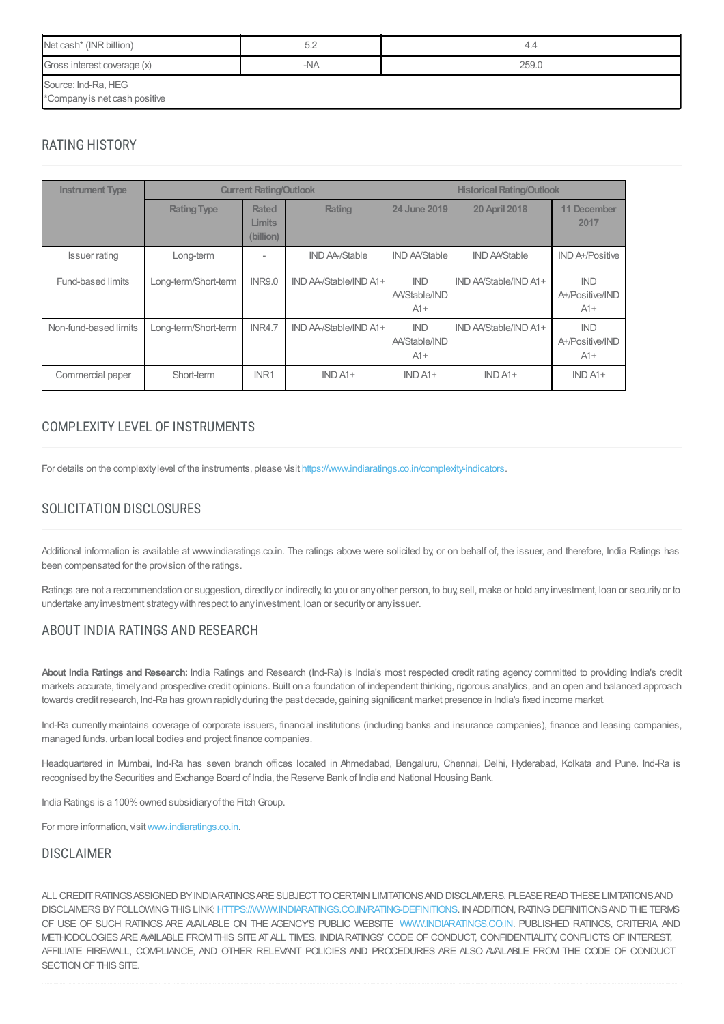| Net cash* (INR billion)       | 5.2   | 4.4   |  |  |  |  |
|-------------------------------|-------|-------|--|--|--|--|
| Gross interest coverage (x)   | $-NA$ | 259.0 |  |  |  |  |
| Source: Ind-Ra, HEG           |       |       |  |  |  |  |
| *Company is net cash positive |       |       |  |  |  |  |

## RATING HISTORY

| <b>Instrument Type</b> | <b>Current Rating/Outlook</b> |                                            |                        | <b>Historical Rating/Outlook</b>     |                       |                                        |
|------------------------|-------------------------------|--------------------------------------------|------------------------|--------------------------------------|-----------------------|----------------------------------------|
|                        | <b>Rating Type</b>            | <b>Rated</b><br><b>Limits</b><br>(billion) | Rating                 | 24 June 2019                         | <b>20 April 2018</b>  | 11 December<br>2017                    |
| <b>Issuer rating</b>   | Long-term                     |                                            | <b>IND AA/Stable</b>   | <b>IND AA/Stable</b>                 | <b>IND AA/Stable</b>  | <b>IND A+/Positive</b>                 |
| Fund-based limits      | Long-term/Short-term          | <b>INR9.0</b>                              | IND AA-/Stable/IND A1+ | <b>IND</b><br>AA/Stable/IND<br>$A1+$ | IND AA/Stable/IND A1+ | <b>IND</b><br>A+/Positive/IND<br>$A1+$ |
| Non-fund-based limits  | Long-term/Short-term          | <b>INR4.7</b>                              | IND AA-/Stable/IND A1+ | <b>IND</b><br>AA/Stable/IND<br>$A1+$ | IND AA/Stable/IND A1+ | <b>IND</b><br>A+/Positive/IND<br>$A1+$ |
| Commercial paper       | Short-term                    | INR1                                       | $IND A1+$              | $INDA1+$                             | $INDA1+$              | $INDA1+$                               |

# COMPLEXITY LEVEL OFINSTRUMENTS

For details on the complexitylevel of the instruments, please visit <https://www.indiaratings.co.in/complexity-indicators>.

# SOLICITATION DISCLOSURES

Additional information is available at www.indiaratings.co.in. The ratings above were solicited by, or on behalf of, the issuer, and therefore, India Ratings has been compensated for the provision of the ratings.

Ratings are not a recommendation or suggestion, directly or indirectly, to you or any other person, to buy, sell, make or hold any investment, loan or security or to undertake anyinvestment strategywith respect to anyinvestment, loan or securityor anyissuer.

# ABOUT INDIA RATINGS AND RESEARCH

**About India Ratings and Research:** India Ratings and Research (Ind-Ra) is India's most respected credit rating agency committed to providing India's credit markets accurate, timelyand prospective credit opinions. Built on a foundation of independent thinking, rigorous analytics, and an open and balanced approach towards credit research, Ind-Ra has grown rapidlyduring the past decade, gaining significant market presence in India's fixed income market.

Ind-Ra currently maintains coverage of corporate issuers, financial institutions (including banks and insurance companies), finance and leasing companies, managed funds, urban local bodies and project finance companies.

Headquartered in Mumbai, Ind-Ra has seven branch offices located in Ahmedabad, Bengaluru, Chennai, Delhi, Hyderabad, Kolkata and Pune. Ind-Ra is recognised bythe Securities and Exchange Board of India, the Reserve Bank of India and National Housing Bank.

India Ratings is a 100% owned subsidiary of the Fitch Group.

For more information, visit[www.indiaratings.co.in.](http://www.indiaratings.co.in/)

#### DISCLAIMER

ALL CREDITRATINGSASSIGNED BYINDIARATINGSARE SUBJECTTOCERTAIN LIMITATIONSAND DISCLAIMERS. PLEASEREAD THESE LIMITATIONSAND DISCLAIMERS BY FOLLOWING THIS LINK: [HTTPS://WWW.INDIARATINGS.CO.IN/RATING-DEFINITIONS.](https://www.indiaratings.co.in/rating-definitions) IN ADDITION, RATING DEFINITIONS AND THE TERMS OF USE OF SUCH RATINGS ARE AVAILABLE ON THE AGENCY'S PUBLIC WEBSITE [WWW.INDIARATINGS.CO.IN](http://www.indiaratings.co.in/). PUBLISHED RATINGS, CRITERIA, AND METHODOLOGIES ARE AVAILABLE FROMTHIS SITE ATALL TIMES. INDIARATINGS' CODE OF CONDUCT, CONFIDENTIALITY, CONFLICTS OF INTEREST, AFFILIATE FIREWALL, COMPLIANCE, AND OTHER RELEVANT POLICIES AND PROCEDURES ARE ALSO AVAILABLE FROM THE CODE OF CONDUCT SECTION OF THIS SITE.